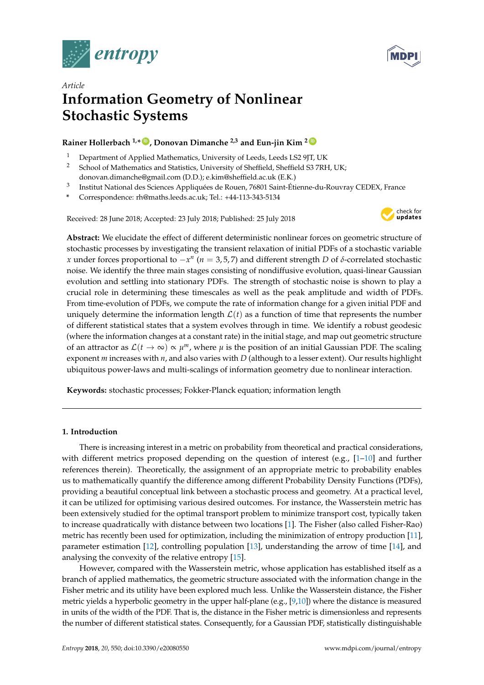



# *Article* **Information Geometry of Nonlinear Stochastic Systems**

# **Rainer Hollerbach 1,\* [ID](https://orcid.org/0000-0001-8639-0967) , Donovan Dimanche 2,3 and Eun-jin Kim <sup>2</sup> [ID](https://orcid.org/0000-0001-5607-6635)**

- <sup>1</sup> Department of Applied Mathematics, University of Leeds, Leeds LS2 9JT, UK<br><sup>2</sup> School of Mathematics and Statistics, University of Sheffield, Sheffield S3.7RF
- <sup>2</sup> School of Mathematics and Statistics, University of Sheffield, Sheffield S3 7RH, UK; donovan.dimanche@gmail.com (D.D.); e.kim@sheffield.ac.uk (E.K.)
- 3 Institut National des Sciences Appliquées de Rouen, 76801 Saint-Étienne-du-Rouvray CEDEX, France
- **\*** Correspondence: rh@maths.leeds.ac.uk; Tel.: +44-113-343-5134

Received: 28 June 2018; Accepted: 23 July 2018; Published: 25 July 2018



**Abstract:** We elucidate the effect of different deterministic nonlinear forces on geometric structure of stochastic processes by investigating the transient relaxation of initial PDFs of a stochastic variable *x* under forces proportional to  $-x^n$  (*n* = 3,5,7) and different strength *D* of *δ*-correlated stochastic noise. We identify the three main stages consisting of nondiffusive evolution, quasi-linear Gaussian evolution and settling into stationary PDFs. The strength of stochastic noise is shown to play a crucial role in determining these timescales as well as the peak amplitude and width of PDFs. From time-evolution of PDFs, we compute the rate of information change for a given initial PDF and uniquely determine the information length  $\mathcal{L}(t)$  as a function of time that represents the number of different statistical states that a system evolves through in time. We identify a robust geodesic (where the information changes at a constant rate) in the initial stage, and map out geometric structure of an attractor as  $\mathcal{L}(t \to \infty) \propto \mu^m$ , where  $\mu$  is the position of an initial Gaussian PDF. The scaling exponent *m* increases with *n*, and also varies with *D* (although to a lesser extent). Our results highlight ubiquitous power-laws and multi-scalings of information geometry due to nonlinear interaction.

**Keywords:** stochastic processes; Fokker-Planck equation; information length

# **1. Introduction**

There is increasing interest in a metric on probability from theoretical and practical considerations, with different metrics proposed depending on the question of interest (e.g.,  $[1-10]$  $[1-10]$  and further references therein). Theoretically, the assignment of an appropriate metric to probability enables us to mathematically quantify the difference among different Probability Density Functions (PDFs), providing a beautiful conceptual link between a stochastic process and geometry. At a practical level, it can be utilized for optimising various desired outcomes. For instance, the Wasserstein metric has been extensively studied for the optimal transport problem to minimize transport cost, typically taken to increase quadratically with distance between two locations [\[1\]](#page-12-0). The Fisher (also called Fisher-Rao) metric has recently been used for optimization, including the minimization of entropy production [\[11\]](#page-12-2), parameter estimation [\[12\]](#page-12-3), controlling population [\[13\]](#page-12-4), understanding the arrow of time [\[14\]](#page-12-5), and analysing the convexity of the relative entropy [\[15\]](#page-12-6).

However, compared with the Wasserstein metric, whose application has established itself as a branch of applied mathematics, the geometric structure associated with the information change in the Fisher metric and its utility have been explored much less. Unlike the Wasserstein distance, the Fisher metric yields a hyperbolic geometry in the upper half-plane (e.g., [\[9](#page-12-7)[,10\]](#page-12-1)) where the distance is measured in units of the width of the PDF. That is, the distance in the Fisher metric is dimensionless and represents the number of different statistical states. Consequently, for a Gaussian PDF, statistically distinguishable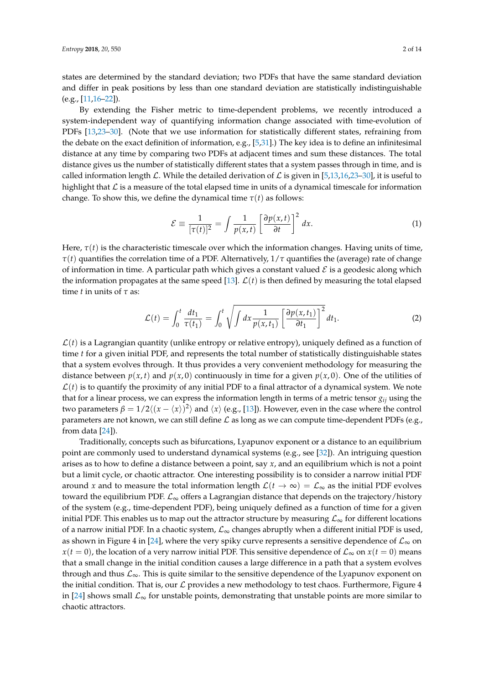states are determined by the standard deviation; two PDFs that have the same standard deviation and differ in peak positions by less than one standard deviation are statistically indistinguishable  $(e.g., [11,16-22]).$  $(e.g., [11,16-22]).$  $(e.g., [11,16-22]).$  $(e.g., [11,16-22]).$ 

By extending the Fisher metric to time-dependent problems, we recently introduced a system-independent way of quantifying information change associated with time-evolution of PDFs [\[13,](#page-12-4)[23](#page-13-0)[–30\]](#page-13-1). (Note that we use information for statistically different states, refraining from the debate on the exact definition of information, e.g., [\[5](#page-12-10)[,31\]](#page-13-2).) The key idea is to define an infinitesimal distance at any time by comparing two PDFs at adjacent times and sum these distances. The total distance gives us the number of statistically different states that a system passes through in time, and is called information length L. While the detailed derivation of L is given in [\[5](#page-12-10)[,13,](#page-12-4)[16,](#page-12-8)[23–](#page-13-0)[30\]](#page-13-1), it is useful to highlight that  $\mathcal L$  is a measure of the total elapsed time in units of a dynamical timescale for information change. To show this, we define the dynamical time  $\tau(t)$  as follows:

$$
\mathcal{E} \equiv \frac{1}{[\tau(t)]^2} = \int \frac{1}{p(x,t)} \left[ \frac{\partial p(x,t)}{\partial t} \right]^2 dx.
$$
 (1)

Here,  $\tau(t)$  is the characteristic timescale over which the information changes. Having units of time, *τ*(*t*) quantifies the correlation time of a PDF. Alternatively, 1/*τ* quantifies the (average) rate of change of information in time. A particular path which gives a constant valued  $\mathcal E$  is a geodesic along which the information propagates at the same speed [\[13\]](#page-12-4).  $\mathcal{L}(t)$  is then defined by measuring the total elapsed time *t* in units of *τ* as:

$$
\mathcal{L}(t) = \int_0^t \frac{dt_1}{\tau(t_1)} = \int_0^t \sqrt{\int dx \frac{1}{p(x, t_1)} \left[\frac{\partial p(x, t_1)}{\partial t_1}\right]^2} dt_1.
$$
 (2)

 $\mathcal{L}(t)$  is a Lagrangian quantity (unlike entropy or relative entropy), uniquely defined as a function of time *t* for a given initial PDF, and represents the total number of statistically distinguishable states that a system evolves through. It thus provides a very convenient methodology for measuring the distance between  $p(x, t)$  and  $p(x, 0)$  continuously in time for a given  $p(x, 0)$ . One of the utilities of  $\mathcal{L}(t)$  is to quantify the proximity of any initial PDF to a final attractor of a dynamical system. We note that for a linear process, we can express the information length in terms of a metric tensor *gij* using the two parameters  $\beta = 1/2\langle (x - \langle x \rangle)^2 \rangle$  and  $\langle x \rangle$  (e.g., [\[13\]](#page-12-4)). However, even in the case where the control parameters are not known, we can still define  $\mathcal L$  as long as we can compute time-dependent PDFs (e.g., from data [\[24\]](#page-13-3)).

Traditionally, concepts such as bifurcations, Lyapunov exponent or a distance to an equilibrium point are commonly used to understand dynamical systems (e.g., see [\[32\]](#page-13-4)). An intriguing question arises as to how to define a distance between a point, say *x*, and an equilibrium which is not a point but a limit cycle, or chaotic attractor. One interesting possibility is to consider a narrow initial PDF around *x* and to measure the total information length  $\mathcal{L}(t \to \infty) = \mathcal{L}_{\infty}$  as the initial PDF evolves toward the equilibrium PDF.  $\mathcal{L}_{\infty}$  offers a Lagrangian distance that depends on the trajectory/history of the system (e.g., time-dependent PDF), being uniquely defined as a function of time for a given initial PDF. This enables us to map out the attractor structure by measuring  $\mathcal{L}_{\infty}$  for different locations of a narrow initial PDF. In a chaotic system,  $\mathcal{L}_{\infty}$  changes abruptly when a different initial PDF is used, as shown in Figure 4 in [\[24\]](#page-13-3), where the very spiky curve represents a sensitive dependence of  $\mathcal{L}_{\infty}$  on *x*(*t* = 0), the location of a very narrow initial PDF. This sensitive dependence of  $\mathcal{L}_{\infty}$  on *x*(*t* = 0) means that a small change in the initial condition causes a large difference in a path that a system evolves through and thus  $\mathcal{L}_{\infty}$ . This is quite similar to the sensitive dependence of the Lyapunov exponent on the initial condition. That is, our  $\mathcal L$  provides a new methodology to test chaos. Furthermore, Figure 4 in [\[24\]](#page-13-3) shows small  $\mathcal{L}_{\infty}$  for unstable points, demonstrating that unstable points are more similar to chaotic attractors.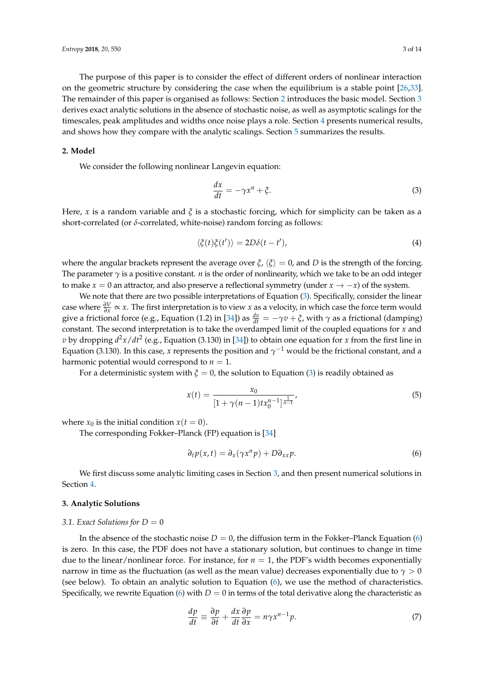The purpose of this paper is to consider the effect of different orders of nonlinear interaction on the geometric structure by considering the case when the equilibrium is a stable point [\[26,](#page-13-5)[33\]](#page-13-6). The remainder of this paper is organised as follows: Section [2](#page-2-0) introduces the basic model. Section [3](#page-2-1) derives exact analytic solutions in the absence of stochastic noise, as well as asymptotic scalings for the timescales, peak amplitudes and widths once noise plays a role. Section [4](#page-5-0) presents numerical results, and shows how they compare with the analytic scalings. Section [5](#page-11-0) summarizes the results.

# <span id="page-2-0"></span>**2. Model**

We consider the following nonlinear Langevin equation:

<span id="page-2-2"></span>
$$
\frac{dx}{dt} = -\gamma x^n + \xi.
$$
\n(3)

Here, *x* is a random variable and *ξ* is a stochastic forcing, which for simplicity can be taken as a short-correlated (or *δ*-correlated, white-noise) random forcing as follows:

$$
\langle \xi(t)\xi(t')\rangle = 2D\delta(t-t'),\tag{4}
$$

where the angular brackets represent the average over  $\xi$ ,  $\langle \xi \rangle = 0$ , and *D* is the strength of the forcing. The parameter *γ* is a positive constant. *n* is the order of nonlinearity, which we take to be an odd integer to make *x* = 0 an attractor, and also preserve a reflectional symmetry (under *x*  $\rightarrow$  −*x*) of the system.

We note that there are two possible interpretations of Equation [\(3\)](#page-2-2). Specifically, consider the linear case where  $\frac{\partial V}{\partial x} \propto x$ . The first interpretation is to view *x* as a velocity, in which case the force term would give a frictional force (e.g., Equation (1.2) in [\[34\]](#page-13-7)) as  $\frac{dv}{dt} = -\gamma v + \xi$ , with  $\gamma$  as a frictional (damping) constant. The second interpretation is to take the overdamped limit of the coupled equations for *x* and *v* by dropping  $d^2x/dt^2$  (e.g., Equation (3.130) in [\[34\]](#page-13-7)) to obtain one equation for *x* from the first line in Equation (3.130). In this case*, x* represents the position and  $\gamma^{-1}$  would be the frictional constant*,* and a harmonic potential would correspond to  $n = 1$ .

For a deterministic system with  $\xi = 0$ , the solution to Equation [\(3\)](#page-2-2) is readily obtained as

<span id="page-2-4"></span>
$$
x(t) = \frac{x_0}{[1 + \gamma(n-1)tx_0^{n-1}]^{\frac{1}{n-1}}},
$$
\n(5)

where  $x_0$  is the initial condition  $x(t = 0)$ .

The corresponding Fokker–Planck (FP) equation is [\[34\]](#page-13-7)

<span id="page-2-3"></span>
$$
\partial_t p(x,t) = \partial_x (\gamma x^n p) + D \partial_{xx} p. \tag{6}
$$

We first discuss some analytic limiting cases in Section [3,](#page-2-1) and then present numerical solutions in Section [4.](#page-5-0)

# <span id="page-2-1"></span>**3. Analytic Solutions**

#### <span id="page-2-6"></span>3.1. Exact Solutions for  $D = 0$

In the absence of the stochastic noise  $D = 0$ , the diffusion term in the Fokker–Planck Equation [\(6\)](#page-2-3) is zero. In this case, the PDF does not have a stationary solution, but continues to change in time due to the linear/nonlinear force. For instance, for  $n = 1$ , the PDF's width becomes exponentially narrow in time as the fluctuation (as well as the mean value) decreases exponentially due to  $\gamma > 0$ (see below). To obtain an analytic solution to Equation [\(6\)](#page-2-3), we use the method of characteristics. Specifically, we rewrite Equation [\(6\)](#page-2-3) with  $D = 0$  in terms of the total derivative along the characteristic as

<span id="page-2-5"></span>
$$
\frac{dp}{dt} \equiv \frac{\partial p}{\partial t} + \frac{dx}{dt} \frac{\partial p}{\partial x} = n\gamma x^{n-1} p. \tag{7}
$$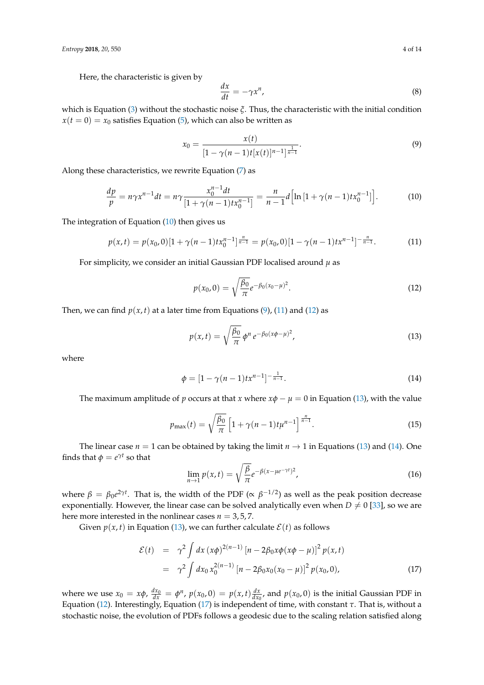Here, the characteristic is given by

$$
\frac{dx}{dt} = -\gamma x^n,\tag{8}
$$

which is Equation [\(3\)](#page-2-2) without the stochastic noise *ξ*. Thus, the characteristic with the initial condition  $x(t = 0) = x_0$  satisfies Equation [\(5\)](#page-2-4), which can also be written as

<span id="page-3-1"></span>
$$
x_0 = \frac{x(t)}{[1 - \gamma(n-1)t[x(t)]^{n-1}]^{\frac{1}{n-1}}}.
$$
\n(9)

Along these characteristics, we rewrite Equation [\(7\)](#page-2-5) as

<span id="page-3-0"></span>
$$
\frac{dp}{p} = n\gamma x^{n-1} dt = n\gamma \frac{x_0^{n-1} dt}{[1 + \gamma (n-1) t x_0^{n-1}]} = \frac{n}{n-1} d \Big[ \ln \left[ 1 + \gamma (n-1) t x_0^{n-1} \right] \Big].
$$
 (10)

The integration of Equation [\(10\)](#page-3-0) then gives us

<span id="page-3-2"></span>
$$
p(x,t) = p(x_0,0)[1+\gamma(n-1)tx_0^{n-1}]^{\frac{n}{n-1}} = p(x_0,0)[1-\gamma(n-1)tx^{n-1}]^{-\frac{n}{n-1}}.
$$
 (11)

For simplicity, we consider an initial Gaussian PDF localised around *µ* as

<span id="page-3-3"></span>
$$
p(x_0, 0) = \sqrt{\frac{\beta_0}{\pi}} e^{-\beta_0 (x_0 - \mu)^2}.
$$
 (12)

Then, we can find  $p(x, t)$  at a later time from Equations [\(9\)](#page-3-1), [\(11\)](#page-3-2) and [\(12\)](#page-3-3) as

<span id="page-3-4"></span>
$$
p(x,t) = \sqrt{\frac{\beta_0}{\pi}} \,\phi^n \, e^{-\beta_0 (x\phi - \mu)^2},\tag{13}
$$

where

<span id="page-3-5"></span>
$$
\phi = [1 - \gamma(n-1)t x^{n-1}]^{-\frac{1}{n-1}}.
$$
\n(14)

The maximum amplitude of *p* occurs at that *x* where  $x\phi - \mu = 0$  in Equation [\(13\)](#page-3-4), with the value

<span id="page-3-7"></span>
$$
p_{\max}(t) = \sqrt{\frac{\beta_0}{\pi}} \left[ 1 + \gamma (n-1) t \mu^{n-1} \right]^{\frac{n}{n-1}}.
$$
 (15)

The linear case  $n = 1$  can be obtained by taking the limit  $n \to 1$  in Equations [\(13\)](#page-3-4) and [\(14\)](#page-3-5). One finds that  $\phi = e^{\gamma t}$  so that

$$
\lim_{n \to 1} p(x, t) = \sqrt{\frac{\beta}{\pi}} e^{-\beta(x - \mu e^{-\gamma t})^2},
$$
\n(16)

where  $\beta = \beta_0 e^{2\gamma t}$ . That is, the width of the PDF ( $\propto \beta^{-1/2}$ ) as well as the peak position decrease exponentially. However, the linear case can be solved analytically even when  $D \neq 0$  [\[33\]](#page-13-6), so we are here more interested in the nonlinear cases  $n = 3, 5, 7$ .

Given  $p(x, t)$  in Equation [\(13\)](#page-3-4), we can further calculate  $\mathcal{E}(t)$  as follows

<span id="page-3-6"></span>
$$
\mathcal{E}(t) = \gamma^2 \int dx \, (x\phi)^{2(n-1)} \left[ n - 2\beta_0 x \phi (x\phi - \mu) \right]^2 p(x, t)
$$
  
=  $\gamma^2 \int dx_0 x_0^{2(n-1)} \left[ n - 2\beta_0 x_0 (x_0 - \mu) \right]^2 p(x_0, 0),$  (17)

where we use  $x_0 = x\phi$ ,  $\frac{dx_0}{dx} = \phi^n$ ,  $p(x_0, 0) = p(x, t) \frac{dx}{dx_0}$ , and  $p(x_0, 0)$  is the initial Gaussian PDF in Equation [\(12\)](#page-3-3). Interestingly, Equation [\(17\)](#page-3-6) is independent of time, with constant *τ*. That is, without a stochastic noise, the evolution of PDFs follows a geodesic due to the scaling relation satisfied along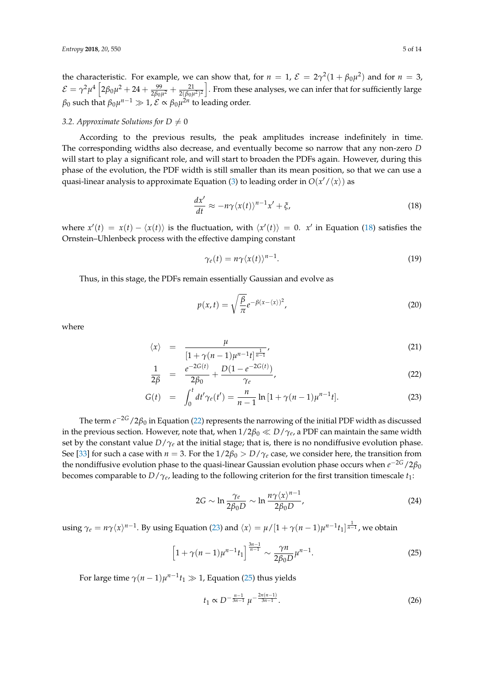the characteristic. For example, we can show that, for  $n = 1$ ,  $\mathcal{E} = 2\gamma^2(1 + \beta_0\mu^2)$  and for  $n = 3$ ,  $\mathcal{E}=\gamma^2\mu^4\left[2\beta_0\mu^2+24+\frac{99}{2\beta_0\mu^2}+\frac{21}{2(\beta_0\mu^2)^2}\right]$ . From these analyses, we can infer that for sufficiently large  $\beta_0$  such that  $\beta_0\mu^{n-1}\gg 1$ ,  $\mathcal{E}\propto\beta_0\mu^{2n}$  to leading order.

# <span id="page-4-4"></span>*3.2. Approximate Solutions for D*  $\neq$  *0*

According to the previous results, the peak amplitudes increase indefinitely in time. The corresponding widths also decrease, and eventually become so narrow that any non-zero *D* will start to play a significant role, and will start to broaden the PDFs again. However, during this phase of the evolution, the PDF width is still smaller than its mean position, so that we can use a quasi-linear analysis to approximate Equation [\(3\)](#page-2-2) to leading order in  $O(x'/\langle x \rangle)$  as

<span id="page-4-0"></span>
$$
\frac{dx'}{dt} \approx -n\gamma \langle x(t) \rangle^{n-1} x' + \xi,\tag{18}
$$

where  $x'(t) = x(t) - \langle x(t) \rangle$  is the fluctuation, with  $\langle x'(t) \rangle = 0$ . *x'* in Equation [\(18\)](#page-4-0) satisfies the Ornstein–Uhlenbeck process with the effective damping constant

$$
\gamma_e(t) = n\gamma \langle x(t) \rangle^{n-1}.
$$
\n(19)

Thus, in this stage, the PDFs remain essentially Gaussian and evolve as

$$
p(x,t) = \sqrt{\frac{\beta}{\pi}} e^{-\beta(x-\langle x \rangle)^2},
$$
\n(20)

where

<span id="page-4-1"></span>
$$
\langle x \rangle = \frac{\mu}{\left[1 + \gamma(n-1)\mu^{n-1}t\right]^{\frac{1}{n-1}}},\tag{21}
$$

$$
\frac{1}{2\beta} = \frac{e^{-2G(t)}}{2\beta_0} + \frac{D(1 - e^{-2G(t)})}{\gamma_e},
$$
\n(22)

$$
G(t) = \int_0^t dt' \gamma_e(t') = \frac{n}{n-1} \ln\left[1 + \gamma(n-1)\mu^{n-1}t\right].
$$
 (23)

The term *e* <sup>−</sup>2*G*/2*β*<sup>0</sup> in Equation [\(22\)](#page-4-1) represents the narrowing of the initial PDF width as discussed in the previous section. However, note that, when  $1/2\beta_0 \ll D/\gamma_e$ , a PDF can maintain the same width set by the constant value  $D/\gamma_e$  at the initial stage; that is, there is no nondiffusive evolution phase. See [\[33\]](#page-13-6) for such a case with  $n = 3$ . For the  $1/2\beta_0 > D/\gamma_e$  case, we consider here, the transition from the nondiffusive evolution phase to the quasi-linear Gaussian evolution phase occurs when  $e^{-2G}/2\beta_0$ becomes comparable to *D*/*γ<sup>e</sup>* , leading to the following criterion for the first transition timescale *t*1:

$$
2G \sim \ln \frac{\gamma_e}{2\beta_0 D} \sim \ln \frac{n\gamma \langle x \rangle^{n-1}}{2\beta_0 D},\tag{24}
$$

using  $\gamma_e = n \gamma \langle x \rangle^{n-1}$ . By using Equation [\(23\)](#page-4-1) and  $\langle x \rangle = \mu/[1 + \gamma(n-1)\mu^{n-1}t_1]^{\frac{1}{n-1}}$ , we obtain

<span id="page-4-2"></span>
$$
\left[1+\gamma(n-1)\mu^{n-1}t_1\right]^{\frac{3n-1}{n-1}} \sim \frac{\gamma n}{2\beta_0 D}\mu^{n-1}.\tag{25}
$$

For large time  $\gamma$  $(n-1)\mu$ <sup>n-1</sup> $t_1 \gg 1$ , Equation [\(25\)](#page-4-2) thus yields

<span id="page-4-3"></span>
$$
t_1 \propto D^{-\frac{n-1}{3n-1}} \mu^{-\frac{2n(n-1)}{3n-1}}.
$$
\n(26)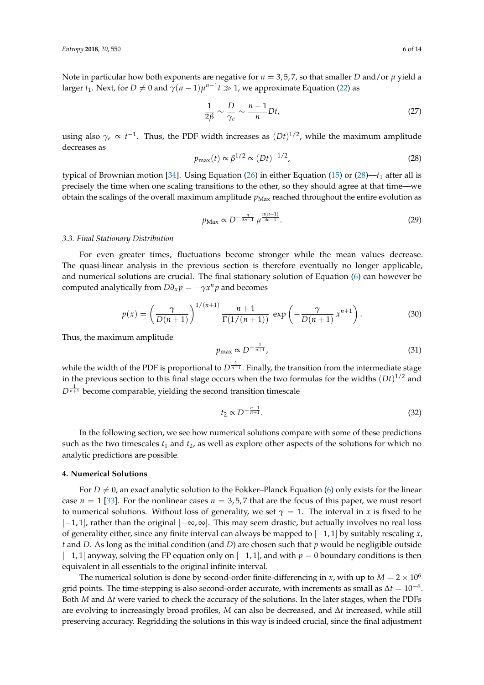Note in particular how both exponents are negative for  $n = 3.5.7$ , so that smaller *D* and/or  $\mu$  yield a larger *t*<sub>1</sub>. Next, for  $D \neq 0$  and  $\gamma(n-1)\mu^{n-1}t \gg 1$ , we approximate Equation [\(22\)](#page-4-1) as

$$
\frac{1}{2\beta} \sim \frac{D}{\gamma_e} \sim \frac{n-1}{n} Dt,\tag{27}
$$

using also  $\gamma_e \propto t^{-1}$ . Thus, the PDF width increases as  $(Dt)^{1/2}$ , while the maximum amplitude decreases as

<span id="page-5-1"></span>
$$
p_{\max}(t) \propto \beta^{1/2} \propto (Dt)^{-1/2},\tag{28}
$$

typical of Brownian motion [\[34\]](#page-13-7). Using Equation [\(26\)](#page-4-3) in either Equation [\(15\)](#page-3-7) or [\(28\)](#page-5-1)— $t_1$  after all is precisely the time when one scaling transitions to the other, so they should agree at that time—we obtain the scalings of the overall maximum amplitude  $p_{\text{Max}}$  reached throughout the entire evolution as

<span id="page-5-3"></span>
$$
p_{\text{Max}} \propto D^{-\frac{n}{3n-1}} \mu^{\frac{n(n-1)}{3n-1}}.
$$
 (29)

#### *3.3. Final Stationary Distribution*

For even greater times, fluctuations become stronger while the mean values decrease. The quasi-linear analysis in the previous section is therefore eventually no longer applicable, and numerical solutions are crucial. The final stationary solution of Equation [\(6\)](#page-2-3) can however be computed analytically from  $D\partial_x p = -\gamma x^n p$  and becomes

<span id="page-5-4"></span>
$$
p(x) = \left(\frac{\gamma}{D(n+1)}\right)^{1/(n+1)} \frac{n+1}{\Gamma(1/(n+1))} \exp\left(-\frac{\gamma}{D(n+1)} x^{n+1}\right).
$$
 (30)

Thus, the maximum amplitude

<span id="page-5-2"></span>
$$
p_{\max} \propto D^{-\frac{1}{n+1}},\tag{31}
$$

while the width of the PDF is proportional to  $D^{\frac{1}{n+1}}$ . Finally, the transition from the intermediate stage in the previous section to this final stage occurs when the two formulas for the widths  $(Dt)^{1/2}$  and  $D^{\frac{1}{n+1}}$  become comparable, yielding the second transition timescale

<span id="page-5-5"></span>
$$
t_2 \propto D^{-\frac{n-1}{n+1}}.\tag{32}
$$

In the following section, we see how numerical solutions compare with some of these predictions such as the two timescales  $t_1$  and  $t_2$ , as well as explore other aspects of the solutions for which no analytic predictions are possible.

### <span id="page-5-0"></span>**4. Numerical Solutions**

For  $D \neq 0$ , an exact analytic solution to the Fokker–Planck Equation [\(6\)](#page-2-3) only exists for the linear case  $n = 1$  [\[33\]](#page-13-6). For the nonlinear cases  $n = 3.5.7$  that are the focus of this paper, we must resort to numerical solutions. Without loss of generality, we set  $\gamma = 1$ . The interval in *x* is fixed to be  $[-1, 1]$ , rather than the original  $[-\infty, \infty]$ . This may seem drastic, but actually involves no real loss of generality either, since any finite interval can always be mapped to [−1, 1] by suitably rescaling *x*, *t* and *D*. As long as the initial condition (and *D*) are chosen such that *p* would be negligible outside [−1, 1] anyway, solving the FP equation only on [−1, 1], and with *p* = 0 boundary conditions is then equivalent in all essentials to the original infinite interval.

The numerical solution is done by second-order finite-differencing in *x*, with up to  $M = 2 \times 10^6$ grid points. The time-stepping is also second-order accurate, with increments as small as  $\Delta t = 10^{-6}$ . Both *M* and ∆*t* were varied to check the accuracy of the solutions. In the later stages, when the PDFs are evolving to increasingly broad profiles, *M* can also be decreased, and ∆*t* increased, while still preserving accuracy. Regridding the solutions in this way is indeed crucial, since the final adjustment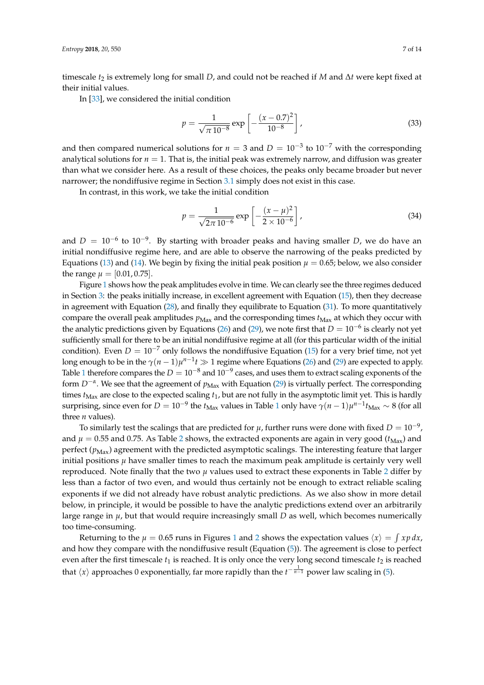timescale *t*<sup>2</sup> is extremely long for small *D*, and could not be reached if *M* and ∆*t* were kept fixed at their initial values.

In [\[33\]](#page-13-6), we considered the initial condition

$$
p = \frac{1}{\sqrt{\pi 10^{-8}}} \exp\left[-\frac{(x - 0.7)^2}{10^{-8}}\right],
$$
\n(33)

and then compared numerical solutions for  $n = 3$  and  $D = 10^{-3}$  to  $10^{-7}$  with the corresponding analytical solutions for  $n = 1$ . That is, the initial peak was extremely narrow, and diffusion was greater than what we consider here. As a result of these choices, the peaks only became broader but never narrower; the nondiffusive regime in Section [3.1](#page-2-6) simply does not exist in this case.

In contrast, in this work, we take the initial condition

<span id="page-6-0"></span>
$$
p = \frac{1}{\sqrt{2\pi 10^{-6}}} \exp\left[-\frac{(x-\mu)^2}{2 \times 10^{-6}}\right],
$$
\n(34)

and  $D = 10^{-6}$  to  $10^{-9}$ . By starting with broader peaks and having smaller *D*, we do have an initial nondiffusive regime here, and are able to observe the narrowing of the peaks predicted by Equations [\(13\)](#page-3-4) and [\(14\)](#page-3-5). We begin by fixing the initial peak position  $\mu = 0.65$ ; below, we also consider the range  $\mu = [0.01, 0.75]$ .

Figure [1](#page-7-0) shows how the peak amplitudes evolve in time. We can clearly see the three regimes deduced in Section [3:](#page-2-1) the peaks initially increase, in excellent agreement with Equation [\(15\)](#page-3-7), then they decrease in agreement with Equation [\(28\)](#page-5-1), and finally they equilibrate to Equation [\(31\)](#page-5-2). To more quantitatively compare the overall peak amplitudes  $p_{\text{Max}}$  and the corresponding times  $t_{\text{Max}}$  at which they occur with the analytic predictions given by Equations [\(26\)](#page-4-3) and [\(29\)](#page-5-3), we note first that  $D = 10^{-6}$  is clearly not yet sufficiently small for there to be an initial nondiffusive regime at all (for this particular width of the initial condition). Even  $D = 10^{-7}$  only follows the nondiffusive Equation [\(15\)](#page-3-7) for a very brief time, not yet long enough to be in the  $\gamma(n-1)\mu^{n-1}t \gg 1$  regime where Equations [\(26\)](#page-4-3) and [\(29\)](#page-5-3) are expected to apply. Table [1](#page-8-0) therefore compares the  $D = 10^{-8}$  and  $10^{-9}$  cases, and uses them to extract scaling exponents of the form *D<sup>−<i>α*</sup>. We see that the agreement of  $p_{Max}$  with Equation [\(29\)](#page-5-3) is virtually perfect. The corresponding times  $t_{\text{Max}}$  are close to the expected scaling  $t_1$ , but are not fully in the asymptotic limit yet. This is hardly surprising, since even for  $D = 10^{-9}$  $D = 10^{-9}$  $D = 10^{-9}$  the  $t_{\text{Max}}$  values in Table 1 only have  $\gamma(n-1)\mu^{n-1}t_{\text{Max}} \sim 8$  (for all three *n* values).

To similarly test the scalings that are predicted for  $\mu$ , further runs were done with fixed  $D = 10^{-9}$ , and  $\mu = 0.55$  and 0.75. As Table [2](#page-8-1) shows, the extracted exponents are again in very good ( $t_{\text{Max}}$ ) and perfect  $(p_{\text{Max}})$  agreement with the predicted asymptotic scalings. The interesting feature that larger initial positions  $\mu$  have smaller times to reach the maximum peak amplitude is certainly very well reproduced. Note finally that the two  $\mu$  values used to extract these exponents in Table [2](#page-8-1) differ by less than a factor of two even, and would thus certainly not be enough to extract reliable scaling exponents if we did not already have robust analytic predictions. As we also show in more detail below, in principle, it would be possible to have the analytic predictions extend over an arbitrarily large range in  $\mu$ , but that would require increasingly small  $D$  as well, which becomes numerically too time-consuming.

Returning to the  $\mu = 0.65$  runs in Figures [1](#page-7-0) and [2](#page-7-1) shows the expectation values  $\langle x \rangle = \int xp \, dx$ , and how they compare with the nondiffusive result (Equation [\(5\)](#page-2-4)). The agreement is close to perfect even after the first timescale  $t_1$  is reached. It is only once the very long second timescale  $t_2$  is reached that  $\langle x \rangle$  approaches 0 exponentially, far more rapidly than the  $t^{-\frac{1}{n-1}}$  power law scaling in [\(5\)](#page-2-4).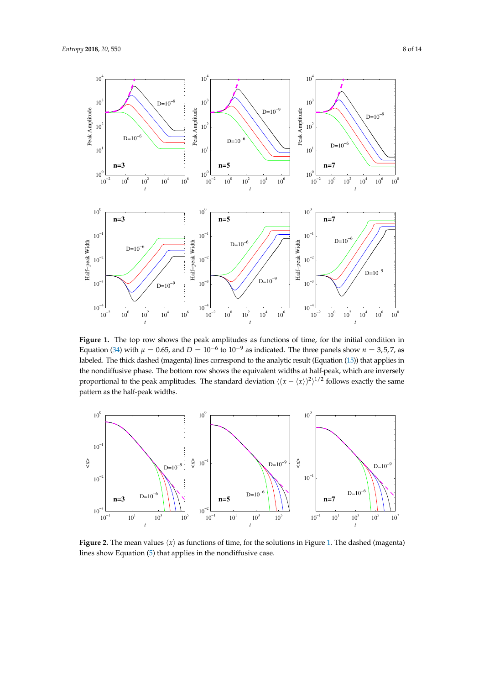<span id="page-7-0"></span>

Figure 1. The top row shows the peak amplitudes as functions of time, for the initial condition in Equation [\(34\)](#page-6-0) with  $\mu = 0.65$ , and  $D = 10^{-6}$  to  $10^{-9}$  as indicated. The three panels show  $n = 3, 5, 7$ , as labeled. The thick dashed (magenta) lines correspond to the analytic result (Equation [\(15\)](#page-3-7)) that applies in the nondiffusive phase. The bottom row shows the equivalent widths at half-peak, which are inversely proportional to the peak amplitudes. The standard deviation  $\langle (x - \langle x \rangle)^2 \rangle^{1/2}$  follows exactly the same pattern as the half-peak widths.

<span id="page-7-1"></span>

**Figure 2.** The mean values  $\langle x \rangle$  as functions of time, for the solutions in Figure [1.](#page-7-0) The dashed (magenta) lines show Equation [\(5\)](#page-2-4) that applies in the nondiffusive case.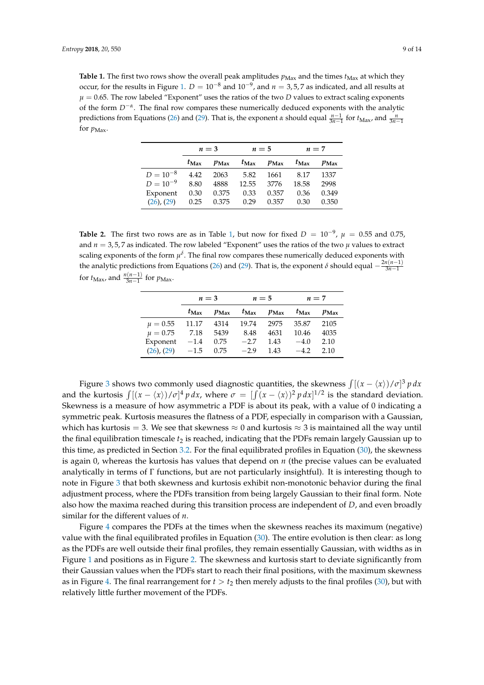<span id="page-8-0"></span>**Table 1.** The first two rows show the overall peak amplitudes  $p_{\text{Max}}$  and the times  $t_{\text{Max}}$  at which they occur, for the results in Figure [1.](#page-7-0)  $D = 10^{-8}$  and  $10^{-9}$ , and  $n = 3.5.7$  as indicated, and all results at  $\mu = 0.65$ . The row labeled "Exponent" uses the ratios of the two *D* values to extract scaling exponents of the form *D*−*<sup>α</sup>* . The final row compares these numerically deduced exponents with the analytic predictions from Equations [\(26\)](#page-4-3) and [\(29\)](#page-5-3). That is, the exponent *α* should equal  $\frac{n-1}{3n-1}$  for  $t_{\text{Max}}$ , and  $\frac{n}{3n-1}$ for  $p_{\text{Max}}$ .

|                 | $n=3$         |         | $n=5$         |         | $n=7$         |         |
|-----------------|---------------|---------|---------------|---------|---------------|---------|
|                 | $t_{\rm Max}$ | $p$ Max | $t_{\rm Max}$ | $p$ Max | $t_{\rm Max}$ | $p$ Max |
| $D = 10^{-8}$   | 4.42          | 2063    | 5.82          | 1661    | 8.17          | 1337    |
| $D = 10^{-9}$   | 8.80          | 4888    | 12.55         | 3776    | 18.58         | 2998    |
| Exponent        | 0.30          | 0.375   | 0.33          | 0.357   | 0.36          | 0.349   |
| $(26)$ , $(29)$ | 0.25          | 0.375   | 0.29          | 0.357   | 0.30          | 0.350   |

<span id="page-8-1"></span>**Table 2.** The first two rows are as in Table [1,](#page-8-0) but now for fixed  $D = 10^{-9}$ ,  $\mu = 0.55$  and 0.75, and  $n = 3, 5, 7$  as indicated. The row labeled "Exponent" uses the ratios of the two  $\mu$  values to extract scaling exponents of the form  $\mu^{\delta}$ . The final row compares these numerically deduced exponents with the analytic predictions from Equations [\(26\)](#page-4-3) and [\(29\)](#page-5-3). That is, the exponent  $\delta$  should equal  $-\frac{2n(n-1)}{3n-1}$ for  $t_{\text{Max}}$ , and  $\frac{n(n-1)}{3n-1}$  for  $p_{\text{Max}}$ .

|                 | $n=3$         |                  | $n=5$         |         | $n=7$         |         |
|-----------------|---------------|------------------|---------------|---------|---------------|---------|
|                 | $t_{\rm Max}$ | $p_{\text{Max}}$ | $t_{\rm Max}$ | $p$ Max | $t_{\rm Max}$ | $p$ Max |
| $\mu = 0.55$    | 11.17         | 4314             | 19.74         | 2975    | 35.87         | 2105    |
| $\mu = 0.75$    | 7.18          | 5439             | 8.48          | 4631    | 10.46         | 4035    |
| Exponent $-1.4$ |               | 0.75             | $-2.7$        | 1.43    | $-4.0$        | 2.10    |
| $(26)$ , $(29)$ | $-1.5$        | 0.75             | $-2.9$        | 1.43    | $-4.2$        | 2.10    |

Figure [3](#page-9-0) shows two commonly used diagnostic quantities, the skewness  $\int [(x - \langle x \rangle) / \sigma]^3 p dx$ and the kurtosis  $\int [(x - \langle x \rangle)/\sigma]^4 p dx$ , where  $\sigma = \int [(x - \langle x \rangle)^2 p dx]^{1/2}$  is the standard deviation. Skewness is a measure of how asymmetric a PDF is about its peak, with a value of 0 indicating a symmetric peak. Kurtosis measures the flatness of a PDF, especially in comparison with a Gaussian, which has kurtosis = 3. We see that skewness  $\approx 0$  and kurtosis  $\approx 3$  is maintained all the way until the final equilibration timescale *t*<sup>2</sup> is reached, indicating that the PDFs remain largely Gaussian up to this time, as predicted in Section [3.2.](#page-4-4) For the final equilibrated profiles in Equation [\(30\)](#page-5-4), the skewness is again 0, whereas the kurtosis has values that depend on *n* (the precise values can be evaluated analytically in terms of Γ functions, but are not particularly insightful). It is interesting though to note in Figure [3](#page-9-0) that both skewness and kurtosis exhibit non-monotonic behavior during the final adjustment process, where the PDFs transition from being largely Gaussian to their final form. Note also how the maxima reached during this transition process are independent of *D*, and even broadly similar for the different values of *n*.

Figure [4](#page-9-1) compares the PDFs at the times when the skewness reaches its maximum (negative) value with the final equilibrated profiles in Equation [\(30\)](#page-5-4). The entire evolution is then clear: as long as the PDFs are well outside their final profiles, they remain essentially Gaussian, with widths as in Figure [1](#page-7-0) and positions as in Figure [2.](#page-7-1) The skewness and kurtosis start to deviate significantly from their Gaussian values when the PDFs start to reach their final positions, with the maximum skewness as in Figure [4.](#page-9-1) The final rearrangement for  $t > t_2$  then merely adjusts to the final profiles [\(30\)](#page-5-4), but with relatively little further movement of the PDFs.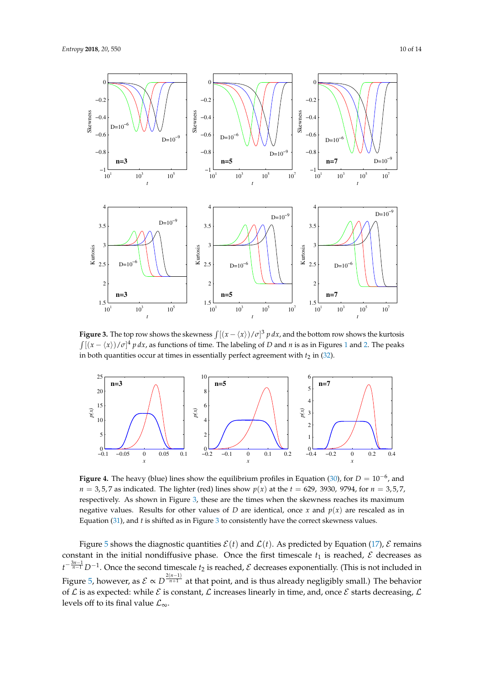

<span id="page-9-0"></span>

**Figure 3.** The top row shows the skewness  $\int [(x - \langle x \rangle) / \sigma]^3 p dx$ , and the bottom row shows the kurtosis  $\int [(x - \langle x \rangle)/\sigma]^4 p dx$ , as functions of time. The labeling of *D* and *n* is as in Figures [1](#page-7-0) and [2.](#page-7-1) The peaks in both quantities occur at times in essentially perfect agreement with  $t_2$  in [\(32\)](#page-5-5).

<span id="page-9-1"></span>

**Figure 4.** The heavy (blue) lines show the equilibrium profiles in Equation [\(30\)](#page-5-4), for  $D = 10^{-6}$ , and  $n = 3.5, 7$  as indicated. The lighter (red) lines show  $p(x)$  at the  $t = 629, 3930, 9794,$  for  $n = 3.5, 7$ , respectively. As shown in Figure [3,](#page-9-0) these are the times when the skewness reaches its maximum negative values. Results for other values of *D* are identical, once *x* and  $p(x)$  are rescaled as in Equation [\(31\)](#page-5-2), and *t* is shifted as in Figure [3](#page-9-0) to consistently have the correct skewness values.

Figure [5](#page-10-0) shows the diagnostic quantities  $\mathcal{E}(t)$  and  $\mathcal{L}(t)$ . As predicted by Equation [\(17\)](#page-3-6),  $\mathcal{E}$  remains constant in the initial nondiffusive phase. Once the first timescale  $t_1$  is reached,  $\mathcal E$  decreases as *t*<sup>- $\frac{3n-1}{n-1}$  *D*<sup>−1</sup>. Once the second timescale *t*<sub>2</sub> is reached, *E* decreases exponentially. (This is not included in</sup> Figure [5,](#page-10-0) however, as  $\mathcal{E} \propto D^{\frac{2(n-1)}{n+1}}$  at that point, and is thus already negligibly small.) The behavior of  $\mathcal L$  is as expected: while  $\mathcal E$  is constant,  $\mathcal L$  increases linearly in time, and, once  $\mathcal E$  starts decreasing,  $\mathcal L$ levels off to its final value  $\mathcal{L}_{\infty}$ .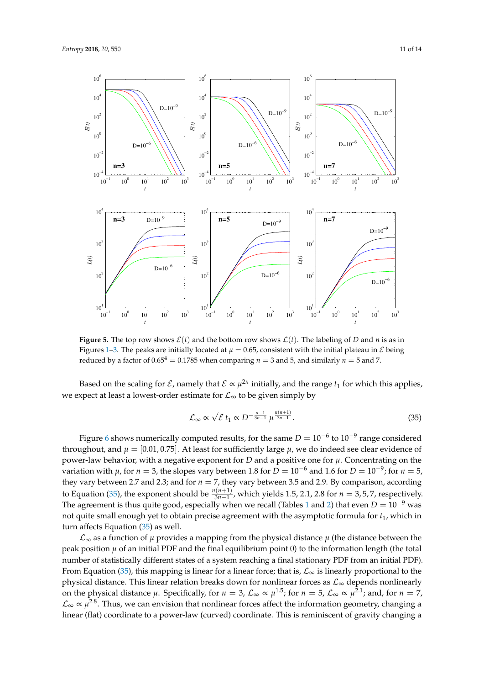<span id="page-10-0"></span>

**Figure 5.** The top row shows  $\mathcal{E}(t)$  and the bottom row shows  $\mathcal{L}(t)$ . The labeling of *D* and *n* is as in Figures [1–](#page-7-0)[3.](#page-9-0) The peaks are initially located at  $\mu = 0.65$ , consistent with the initial plateau in  $\mathcal E$  being reduced by a factor of  $0.65^4 = 0.1785$  when comparing  $n = 3$  and 5, and similarly  $n = 5$  and 7.

Based on the scaling for  $\mathcal{E}$ , namely that  $\mathcal{E} \propto \mu^{2n}$  initially, and the range  $t_1$  for which this applies, we expect at least a lowest-order estimate for  $\mathcal{L}_{\infty}$  to be given simply by

<span id="page-10-1"></span>
$$
\mathcal{L}_{\infty} \propto \sqrt{\mathcal{E}} t_1 \propto D^{-\frac{n-1}{3n-1}} \mu^{\frac{n(n+1)}{3n-1}}.
$$
\n(35)

Figure [6](#page-11-1) shows numerically computed results, for the same  $D = 10^{-6}$  to  $10^{-9}$  range considered throughout, and  $\mu = [0.01, 0.75]$ . At least for sufficiently large  $\mu$ , we do indeed see clear evidence of power-law behavior, with a negative exponent for *D* and a positive one for  $\mu$ . Concentrating on the variation with  $\mu$ , for  $n=3$ , the slopes vary between 1.8 for  $D=10^{-6}$  and 1.6 for  $D=10^{-9}$ ; for  $n=5$ , they vary between 2.7 and 2.3; and for  $n = 7$ , they vary between 3.5 and 2.9. By comparison, according to Equation [\(35\)](#page-10-1), the exponent should be  $\frac{n(n+1)}{3n-1}$ , which yields 1.5, 2.1, 2.8 for  $n = 3, 5, 7$ , respectively. The agreement is thus quite good, especially when we recall (Tables [1](#page-8-0) and [2\)](#page-8-1) that even  $D = 10^{-9}$  was not quite small enough yet to obtain precise agreement with the asymptotic formula for  $t_1$ , which in turn affects Equation [\(35\)](#page-10-1) as well.

 $\mathcal{L}_{\infty}$  as a function of  $\mu$  provides a mapping from the physical distance  $\mu$  (the distance between the peak position  $\mu$  of an initial PDF and the final equilibrium point 0) to the information length (the total number of statistically different states of a system reaching a final stationary PDF from an initial PDF). From Equation [\(35\)](#page-10-1), this mapping is linear for a linear force; that is,  $\mathcal{L}_{\infty}$  is linearly proportional to the physical distance. This linear relation breaks down for nonlinear forces as  $\mathcal{L}_{\infty}$  depends nonlinearly on the physical distance  $\mu$ . Specifically, for  $n = 3$ ,  $\mathcal{L}_{\infty} \propto \mu^{1.5}$ ; for  $n = 5$ ,  $\mathcal{L}_{\infty} \propto \mu^{2.1}$ ; and, for  $n = 7$ , L<sup>∞</sup> ∝ *µ* 2.8. Thus, we can envision that nonlinear forces affect the information geometry, changing a linear (flat) coordinate to a power-law (curved) coordinate. This is reminiscent of gravity changing a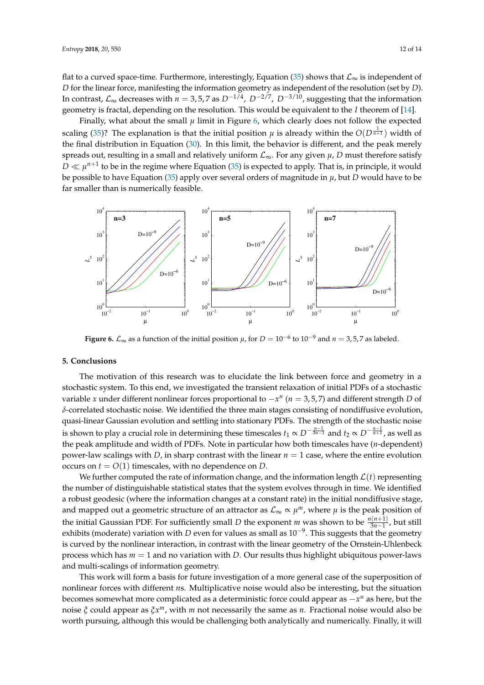flat to a curved space-time. Furthermore, interestingly, Equation [\(35\)](#page-10-1) shows that  $\mathcal{L}_{\infty}$  is independent of *D* for the linear force, manifesting the information geometry as independent of the resolution (set by *D*). In contrast, L<sup>∞</sup> decreases with *n* = 3, 5, 7 as *D*−1/4 , *D*−2/7 , *D*−3/10, suggesting that the information geometry is fractal, depending on the resolution. This would be equivalent to the *I* theorem of [\[14\]](#page-12-5).

Finally, what about the small  $\mu$  limit in Figure [6,](#page-11-1) which clearly does not follow the expected scaling [\(35\)](#page-10-1)? The explanation is that the initial position  $\mu$  is already within the  $O(D^{\frac{1}{n+1}})$  width of the final distribution in Equation [\(30\)](#page-5-4). In this limit, the behavior is different, and the peak merely spreads out, resulting in a small and relatively uniform  $\mathcal{L}_{\infty}$ . For any given  $\mu$ , *D* must therefore satisfy  $D \ll \mu^{n+1}$  to be in the regime where Equation [\(35\)](#page-10-1) is expected to apply. That is, in principle, it would be possible to have Equation [\(35\)](#page-10-1) apply over several orders of magnitude in *µ*, but *D* would have to be far smaller than is numerically feasible.

<span id="page-11-1"></span>

**Figure 6.**  $\mathcal{L}_{\infty}$  as a function of the initial position  $\mu$ , for  $D = 10^{-6}$  to  $10^{-9}$  and  $n = 3, 5, 7$  as labeled.

# <span id="page-11-0"></span>**5. Conclusions**

The motivation of this research was to elucidate the link between force and geometry in a stochastic system. To this end, we investigated the transient relaxation of initial PDFs of a stochastic variable *x* under different nonlinear forces proportional to −*x n* (*n* = 3, 5, 7) and different strength *D* of *δ*-correlated stochastic noise. We identified the three main stages consisting of nondiffusive evolution, quasi-linear Gaussian evolution and settling into stationary PDFs. The strength of the stochastic noise is shown to play a crucial role in determining these timescales  $t_1\propto D^{-\frac{n-1}{3n-1}}$  and  $t_2\propto D^{-\frac{n-1}{n+1}}$ , as well as the peak amplitude and width of PDFs. Note in particular how both timescales have (*n*-dependent) power-law scalings with *D*, in sharp contrast with the linear  $n = 1$  case, where the entire evolution occurs on  $t = O(1)$  timescales, with no dependence on *D*.

We further computed the rate of information change, and the information length  $\mathcal{L}(t)$  representing the number of distinguishable statistical states that the system evolves through in time. We identified a robust geodesic (where the information changes at a constant rate) in the initial nondiffusive stage, and mapped out a geometric structure of an attractor as  $\mathcal{L}_{\infty} \propto \mu^m$ , where  $\mu$  is the peak position of the initial Gaussian PDF. For sufficiently small *D* the exponent *m* was shown to be  $\frac{n(n+1)}{3n-1}$ , but still exhibits (moderate) variation with *D* even for values as small as 10−<sup>9</sup> . This suggests that the geometry is curved by the nonlinear interaction, in contrast with the linear geometry of the Ornstein-Uhlenbeck process which has *m* = 1 and no variation with *D*. Our results thus highlight ubiquitous power-laws and multi-scalings of information geometry.

This work will form a basis for future investigation of a more general case of the superposition of nonlinear forces with different *n*s. Multiplicative noise would also be interesting, but the situation becomes somewhat more complicated as a deterministic force could appear as −*x <sup>n</sup>* as here, but the noise *ξ* could appear as *ξx <sup>m</sup>*, with *m* not necessarily the same as *n*. Fractional noise would also be worth pursuing, although this would be challenging both analytically and numerically. Finally, it will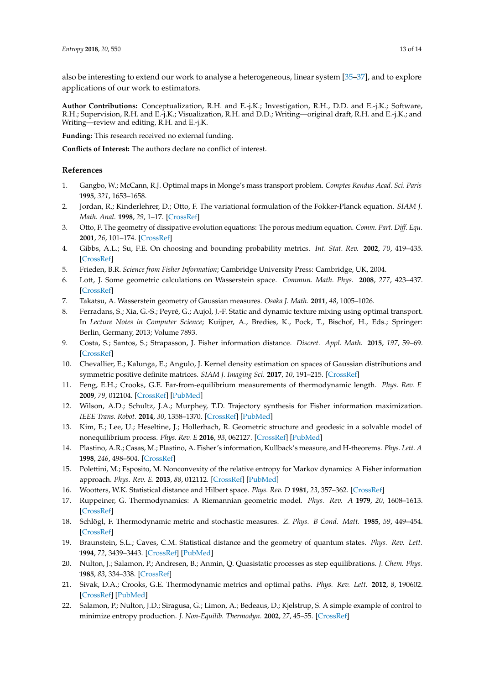also be interesting to extend our work to analyse a heterogeneous, linear system [\[35](#page-13-8)[–37\]](#page-13-9), and to explore applications of our work to estimators.

**Author Contributions:** Conceptualization, R.H. and E.-j.K.; Investigation, R.H., D.D. and E.-j.K.; Software, R.H.; Supervision, R.H. and E.-j.K.; Visualization, R.H. and D.D.; Writing—original draft, R.H. and E.-j.K.; and Writing—review and editing, R.H. and E.-j.K.

**Funding:** This research received no external funding.

**Conflicts of Interest:** The authors declare no conflict of interest.

### **References**

- <span id="page-12-0"></span>1. Gangbo, W.; McCann, R.J. Optimal maps in Monge's mass transport problem. *Comptes Rendus Acad. Sci. Paris* **1995**, *321*, 1653–1658.
- 2. Jordan, R.; Kinderlehrer, D.; Otto, F. The variational formulation of the Fokker-Planck equation. *SIAM J. Math. Anal.* **1998**, *29*, 1–17. [\[CrossRef\]](http://dx.doi.org/10.1137/S0036141096303359)
- 3. Otto, F. The geometry of dissipative evolution equations: The porous medium equation. *Comm. Part. Diff. Equ.* **2001**, *26*, 101–174. [\[CrossRef\]](http://dx.doi.org/10.1081/PDE-100002243)
- 4. Gibbs, A.L.; Su, F.E. On choosing and bounding probability metrics. *Int. Stat. Rev.* **2002**, *70*, 419–435. [\[CrossRef\]](http://dx.doi.org/10.1111/j.1751-5823.2002.tb00178.x)
- <span id="page-12-10"></span>5. Frieden, B.R. *Science from Fisher Information*; Cambridge University Press: Cambridge, UK, 2004.
- 6. Lott, J. Some geometric calculations on Wasserstein space. *Commun. Math. Phys.* **2008**, *277*, 423–437. [\[CrossRef\]](http://dx.doi.org/10.1007/s00220-007-0367-3)
- 7. Takatsu, A. Wasserstein geometry of Gaussian measures. *Osaka J. Math.* **2011**, *48*, 1005–1026.
- 8. Ferradans, S.; Xia, G.-S.; Peyré, G.; Aujol, J.-F. Static and dynamic texture mixing using optimal transport. In *Lecture Notes in Computer Science*; Kuijper, A., Bredies, K., Pock, T., Bischof, H., Eds.; Springer: Berlin, Germany, 2013; Volume 7893.
- <span id="page-12-7"></span>9. Costa, S.; Santos, S.; Strapasson, J. Fisher information distance. *Discret. Appl. Math.* **2015**, *197*, 59–69. [\[CrossRef\]](http://dx.doi.org/10.1016/j.dam.2014.10.004)
- <span id="page-12-1"></span>10. Chevallier, E.; Kalunga, E.; Angulo, J. Kernel density estimation on spaces of Gaussian distributions and symmetric positive definite matrices. *SIAM J. Imaging Sci.* **2017**, *10*, 191–215. [\[CrossRef\]](http://dx.doi.org/10.1137/15M1053566)
- <span id="page-12-2"></span>11. Feng, E.H.; Crooks, G.E. Far-from-equilibrium measurements of thermodynamic length. *Phys. Rev. E* **2009**, *79*, 012104. [\[CrossRef\]](http://dx.doi.org/10.1103/PhysRevE.79.012104) [\[PubMed\]](http://www.ncbi.nlm.nih.gov/pubmed/19257090)
- <span id="page-12-3"></span>12. Wilson, A.D.; Schultz, J.A.; Murphey, T.D. Trajectory synthesis for Fisher information maximization. *IEEE Trans. Robot.* **2014**, *30*, 1358–1370. [\[CrossRef\]](http://dx.doi.org/10.1109/TRO.2014.2345918) [\[PubMed\]](http://www.ncbi.nlm.nih.gov/pubmed/25598763)
- <span id="page-12-4"></span>13. Kim, E.; Lee, U.; Heseltine, J.; Hollerbach, R. Geometric structure and geodesic in a solvable model of nonequilibrium process. *Phys. Rev. E* **2016**, *93*, 062127. [\[CrossRef\]](http://dx.doi.org/10.1103/PhysRevE.93.062127) [\[PubMed\]](http://www.ncbi.nlm.nih.gov/pubmed/27415228)
- <span id="page-12-5"></span>14. Plastino, A.R.; Casas, M.; Plastino, A. Fisher's information, Kullback's measure, and H-theorems. *Phys. Lett. A* **1998**, *246*, 498–504. [\[CrossRef\]](http://dx.doi.org/10.1016/S0375-9601(98)00567-2)
- <span id="page-12-6"></span>15. Polettini, M.; Esposito, M. Nonconvexity of the relative entropy for Markov dynamics: A Fisher information approach. *Phys. Rev. E.* **2013**, *88*, 012112. [\[CrossRef\]](http://dx.doi.org/10.1103/PhysRevE.88.012112) [\[PubMed\]](http://www.ncbi.nlm.nih.gov/pubmed/23944419)
- <span id="page-12-8"></span>16. Wootters, W.K. Statistical distance and Hilbert space. *Phys. Rev. D* **1981**, *23*, 357–362. [\[CrossRef\]](http://dx.doi.org/10.1103/PhysRevD.23.357)
- 17. Ruppeiner, G. Thermodynamics: A Riemannian geometric model. *Phys. Rev. A* **1979**, *20*, 1608–1613. [\[CrossRef\]](http://dx.doi.org/10.1103/PhysRevA.20.1608)
- 18. Schlögl, F. Thermodynamic metric and stochastic measures. *Z. Phys. B Cond. Matt.* **1985**, *59*, 449–454. [\[CrossRef\]](http://dx.doi.org/10.1007/BF01328857)
- 19. Braunstein, S.L.; Caves, C.M. Statistical distance and the geometry of quantum states. *Phys. Rev. Lett.* **1994**, *72*, 3439–3443. [\[CrossRef\]](http://dx.doi.org/10.1103/PhysRevLett.72.3439) [\[PubMed\]](http://www.ncbi.nlm.nih.gov/pubmed/10056200)
- 20. Nulton, J.; Salamon, P.; Andresen, B.; Anmin, Q. Quasistatic processes as step equilibrations. *J. Chem. Phys.* **1985**, *83*, 334–338. [\[CrossRef\]](http://dx.doi.org/10.1063/1.449774)
- 21. Sivak, D.A.; Crooks, G.E. Thermodynamic metrics and optimal paths. *Phys. Rev. Lett.* **2012**, *8*, 190602. [\[CrossRef\]](http://dx.doi.org/10.1103/PhysRevLett.108.190602) [\[PubMed\]](http://www.ncbi.nlm.nih.gov/pubmed/23003019)
- <span id="page-12-9"></span>22. Salamon, P.; Nulton, J.D.; Siragusa, G.; Limon, A.; Bedeaus, D.; Kjelstrup, S. A simple example of control to minimize entropy production. *J. Non-Equilib. Thermodyn.* **2002**, *27*, 45–55. [\[CrossRef\]](http://dx.doi.org/10.1515/JNETDY.2002.003)